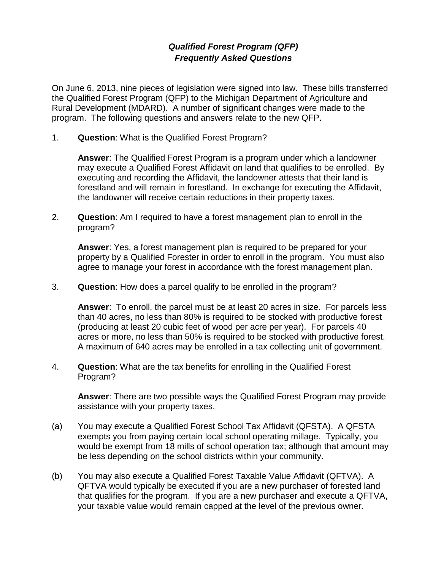## *Qualified Forest Program (QFP) Frequently Asked Questions*

On June 6, 2013, nine pieces of legislation were signed into law. These bills transferred the Qualified Forest Program (QFP) to the Michigan Department of Agriculture and Rural Development (MDARD). A number of significant changes were made to the program. The following questions and answers relate to the new QFP.

1. **Question**: What is the Qualified Forest Program?

**Answer**: The Qualified Forest Program is a program under which a landowner may execute a Qualified Forest Affidavit on land that qualifies to be enrolled. By executing and recording the Affidavit, the landowner attests that their land is forestland and will remain in forestland. In exchange for executing the Affidavit, the landowner will receive certain reductions in their property taxes.

2. **Question**: Am I required to have a forest management plan to enroll in the program?

**Answer**: Yes, a forest management plan is required to be prepared for your property by a Qualified Forester in order to enroll in the program. You must also agree to manage your forest in accordance with the forest management plan.

3. **Question**: How does a parcel qualify to be enrolled in the program?

**Answer**: To enroll, the parcel must be at least 20 acres in size. For parcels less than 40 acres, no less than 80% is required to be stocked with productive forest (producing at least 20 cubic feet of wood per acre per year). For parcels 40 acres or more, no less than 50% is required to be stocked with productive forest. A maximum of 640 acres may be enrolled in a tax collecting unit of government.

4. **Question**: What are the tax benefits for enrolling in the Qualified Forest Program?

**Answer**: There are two possible ways the Qualified Forest Program may provide assistance with your property taxes.

- (a) You may execute a Qualified Forest School Tax Affidavit (QFSTA). A QFSTA exempts you from paying certain local school operating millage. Typically, you would be exempt from 18 mills of school operation tax; although that amount may be less depending on the school districts within your community.
- (b) You may also execute a Qualified Forest Taxable Value Affidavit (QFTVA). A QFTVA would typically be executed if you are a new purchaser of forested land that qualifies for the program. If you are a new purchaser and execute a QFTVA, your taxable value would remain capped at the level of the previous owner.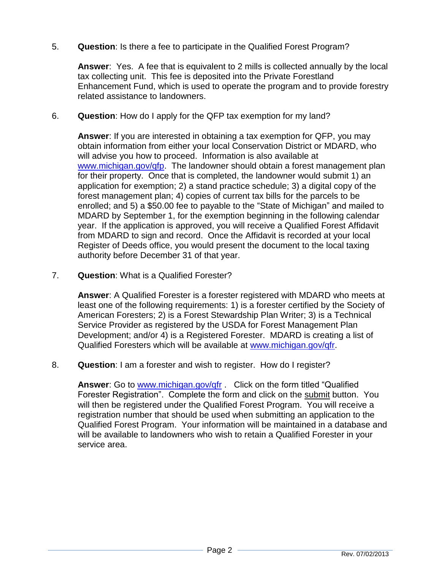5. **Question**: Is there a fee to participate in the Qualified Forest Program?

**Answer**: Yes. A fee that is equivalent to 2 mills is collected annually by the local tax collecting unit. This fee is deposited into the Private Forestland Enhancement Fund, which is used to operate the program and to provide forestry related assistance to landowners.

6. **Question**: How do I apply for the QFP tax exemption for my land?

**Answer**: If you are interested in obtaining a tax exemption for QFP, you may obtain information from either your local Conservation District or MDARD, who will advise you how to proceed. Information is also available at [www.michigan.gov/qfp.](http://www.michigan.gov/qfp) The landowner should obtain a forest management plan for their property. Once that is completed, the landowner would submit 1) an application for exemption; 2) a stand practice schedule; 3) a digital copy of the forest management plan; 4) copies of current tax bills for the parcels to be enrolled; and 5) a \$50.00 fee to payable to the "State of Michigan" and mailed to MDARD by September 1, for the exemption beginning in the following calendar year. If the application is approved, you will receive a Qualified Forest Affidavit from MDARD to sign and record. Once the Affidavit is recorded at your local Register of Deeds office, you would present the document to the local taxing authority before December 31 of that year.

7. **Question**: What is a Qualified Forester?

**Answer**: A Qualified Forester is a forester registered with MDARD who meets at least one of the following requirements: 1) is a forester certified by the Society of American Foresters; 2) is a Forest Stewardship Plan Writer; 3) is a Technical Service Provider as registered by the USDA for Forest Management Plan Development; and/or 4) is a Registered Forester. MDARD is creating a list of Qualified Foresters which will be available at [www.michigan.gov/qfr.](http://www.michigan.gov/qfr)

8. **Question**: I am a forester and wish to register. How do I register?

**Answer**: Go to [www.michigan.gov/qfr](file:///C:/Documents%20and%20Settings/hinespa/Local%20Settings/Temporary%20Internet%20Files/Content.Outlook/A57KJTZ8/www.michigan.gov/qfr) . Click on the form titled "Qualified Forester Registration". Complete the form and click on the submit button. You will then be registered under the Qualified Forest Program. You will receive a registration number that should be used when submitting an application to the Qualified Forest Program. Your information will be maintained in a database and will be available to landowners who wish to retain a Qualified Forester in your service area.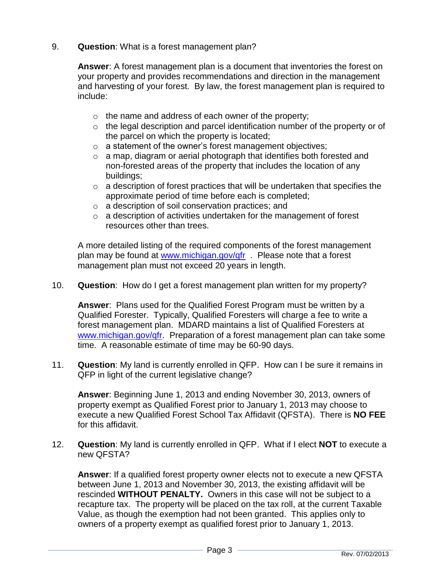9. **Question**: What is a forest management plan?

**Answer**: A forest management plan is a document that inventories the forest on your property and provides recommendations and direction in the management and harvesting of your forest. By law, the forest management plan is required to include:

- o the name and address of each owner of the property;
- $\circ$  the legal description and parcel identification number of the property or of the parcel on which the property is located;
- o a statement of the owner's forest management objectives;
- o a map, diagram or aerial photograph that identifies both forested and non-forested areas of the property that includes the location of any buildings;
- $\circ$  a description of forest practices that will be undertaken that specifies the approximate period of time before each is completed;
- o a description of soil conservation practices; and
- $\circ$  a description of activities undertaken for the management of forest resources other than trees.

A more detailed listing of the required components of the forest management plan may be found at [www.michigan.gov/qfr](http://www.michigan.gov/qfr) . Please note that a forest management plan must not exceed 20 years in length.

10. **Question**: How do I get a forest management plan written for my property?

**Answer**: Plans used for the Qualified Forest Program must be written by a Qualified Forester. Typically, Qualified Foresters will charge a fee to write a forest management plan. MDARD maintains a list of Qualified Foresters at [www.michigan.gov/qfr.](http://www.michigan.gov/qfr) Preparation of a forest management plan can take some time. A reasonable estimate of time may be 60-90 days.

11. **Question**: My land is currently enrolled in QFP. How can I be sure it remains in QFP in light of the current legislative change?

**Answer**: Beginning June 1, 2013 and ending November 30, 2013, owners of property exempt as Qualified Forest prior to January 1, 2013 may choose to execute a new Qualified Forest School Tax Affidavit (QFSTA). There is **NO FEE** for this affidavit.

12. **Question**: My land is currently enrolled in QFP. What if I elect **NOT** to execute a new QFSTA?

**Answer**: If a qualified forest property owner elects not to execute a new QFSTA between June 1, 2013 and November 30, 2013, the existing affidavit will be rescinded **WITHOUT PENALTY.** Owners in this case will not be subject to a recapture tax. The property will be placed on the tax roll, at the current Taxable Value, as though the exemption had not been granted. This applies only to owners of a property exempt as qualified forest prior to January 1, 2013.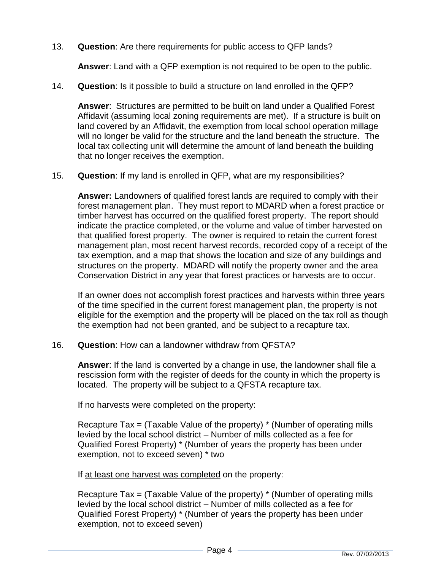13. **Question**: Are there requirements for public access to QFP lands?

**Answer**: Land with a QFP exemption is not required to be open to the public.

14. **Question**: Is it possible to build a structure on land enrolled in the QFP?

**Answer**: Structures are permitted to be built on land under a Qualified Forest Affidavit (assuming local zoning requirements are met). If a structure is built on land covered by an Affidavit, the exemption from local school operation millage will no longer be valid for the structure and the land beneath the structure. The local tax collecting unit will determine the amount of land beneath the building that no longer receives the exemption.

15. **Question**: If my land is enrolled in QFP, what are my responsibilities?

**Answer:** Landowners of qualified forest lands are required to comply with their forest management plan. They must report to MDARD when a forest practice or timber harvest has occurred on the qualified forest property. The report should indicate the practice completed, or the volume and value of timber harvested on that qualified forest property. The owner is required to retain the current forest management plan, most recent harvest records, recorded copy of a receipt of the tax exemption, and a map that shows the location and size of any buildings and structures on the property. MDARD will notify the property owner and the area Conservation District in any year that forest practices or harvests are to occur.

If an owner does not accomplish forest practices and harvests within three years of the time specified in the current forest management plan, the property is not eligible for the exemption and the property will be placed on the tax roll as though the exemption had not been granted, and be subject to a recapture tax.

16. **Question**: How can a landowner withdraw from QFSTA?

**Answer**: If the land is converted by a change in use, the landowner shall file a rescission form with the register of deeds for the county in which the property is located. The property will be subject to a QFSTA recapture tax.

If no harvests were completed on the property:

Recapture Tax = (Taxable Value of the property)  $*$  (Number of operating mills levied by the local school district – Number of mills collected as a fee for Qualified Forest Property) \* (Number of years the property has been under exemption, not to exceed seven) \* two

If at least one harvest was completed on the property:

Recapture Tax = (Taxable Value of the property) \* (Number of operating mills levied by the local school district – Number of mills collected as a fee for Qualified Forest Property) \* (Number of years the property has been under exemption, not to exceed seven)